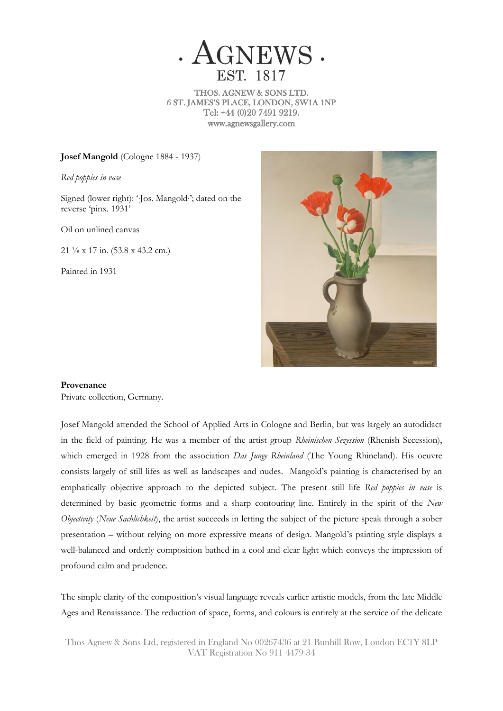

THOS. AGNEW & SONS LTD. 6 ST. JAMES'S PLACE, LONDON, SW1A 1NP Tel: +44 (0)20 7491 9219. www.agnewsgallery.com

**Josef Mangold** (Cologne 1884 - 1937)

*Red poppies in vase*

Signed (lower right): '∙Jos. Mangold∙'; dated on the reverse 'pinx. 1931'

Oil on unlined canvas

21 ⅛ x 17 in. (53.8 x 43.2 cm.)

Painted in 1931



## **Provenance**

Private collection, Germany.

Josef Mangold attended the School of Applied Arts in Cologne and Berlin, but was largely an autodidact in the field of painting. He was a member of the artist group *Rheinischen Sezession* (Rhenish Secession), which emerged in 1928 from the association *Das Junge Rheinland* (The Young Rhineland). His oeuvre consists largely of still lifes as well as landscapes and nudes. Mangold's painting is characterised by an emphatically objective approach to the depicted subject. The present still life *Red poppies in vase* is determined by basic geometric forms and a sharp contouring line. Entirely in the spirit of the *New Objectivity* (*Neue Sachlichkeit*), the artist succeeds in letting the subject of the picture speak through a sober presentation – without relying on more expressive means of design. Mangold's painting style displays a well-balanced and orderly composition bathed in a cool and clear light which conveys the impression of profound calm and prudence.

The simple clarity of the composition's visual language reveals earlier artistic models, from the late Middle Ages and Renaissance. The reduction of space, forms, and colours is entirely at the service of the delicate

Thos Agnew & Sons Ltd, registered in England No 00267436 at 21 Bunhill Row, London EC1Y 8LP VAT Registration No 911 4479 34